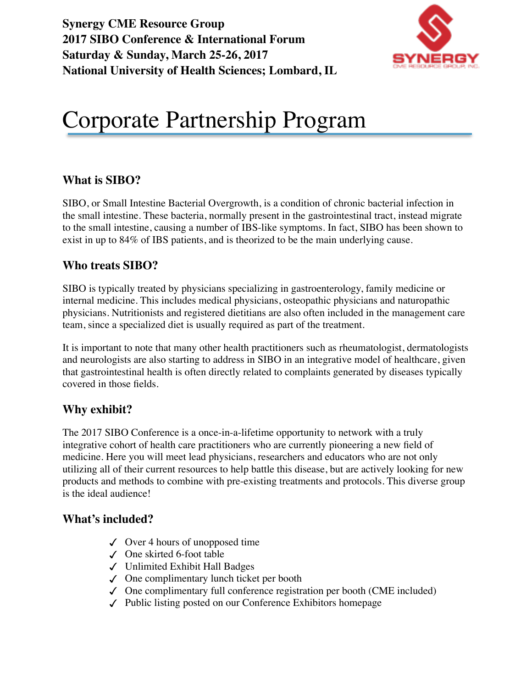**Synergy CME Resource Group 2017 SIBO Conference & International Forum Saturday & Sunday, March 25-26, 2017 National University of Health Sciences; Lombard, IL** 



# Corporate Partnership Program

#### **What is SIBO?**

SIBO, or Small Intestine Bacterial Overgrowth, is a condition of chronic bacterial infection in the small intestine. These bacteria, normally present in the gastrointestinal tract, instead migrate to the small intestine, causing a number of IBS-like symptoms. In fact, SIBO has been shown to exist in up to 84% of IBS patients, and is theorized to be the main underlying cause.

#### **Who treats SIBO?**

SIBO is typically treated by physicians specializing in gastroenterology, family medicine or internal medicine. This includes medical physicians, osteopathic physicians and naturopathic physicians. Nutritionists and registered dietitians are also often included in the management care team, since a specialized diet is usually required as part of the treatment.

It is important to note that many other health practitioners such as rheumatologist, dermatologists and neurologists are also starting to address in SIBO in an integrative model of healthcare, given that gastrointestinal health is often directly related to complaints generated by diseases typically covered in those fields.

#### **Why exhibit?**

The 2017 SIBO Conference is a once-in-a-lifetime opportunity to network with a truly integrative cohort of health care practitioners who are currently pioneering a new field of medicine. Here you will meet lead physicians, researchers and educators who are not only utilizing all of their current resources to help battle this disease, but are actively looking for new products and methods to combine with pre-existing treatments and protocols. This diverse group is the ideal audience!

#### **What's included?**

- $\checkmark$  Over 4 hours of unopposed time
- ✓ One skirted 6-foot table
- ✓ Unlimited Exhibit Hall Badges
- ✓ One complimentary lunch ticket per booth
- $\checkmark$  One complimentary full conference registration per booth (CME included)
- ✓ Public listing posted on our Conference Exhibitors homepage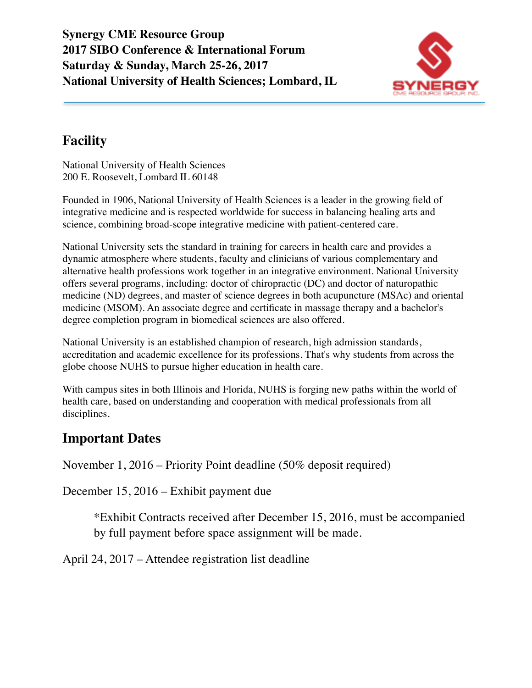

# **Facility**

National University of Health Sciences 200 E. Roosevelt, Lombard IL 60148

Founded in 1906, National University of Health Sciences is a leader in the growing field of integrative medicine and is respected worldwide for success in balancing healing arts and science, combining broad-scope integrative medicine with patient-centered care.

National University sets the standard in training for careers in health care and provides a dynamic atmosphere where students, faculty and clinicians of various complementary and alternative health professions work together in an integrative environment. National University offers several programs, including: doctor of [chiropractic](http://www.nuhs.edu/admissions/chiropractic-medicine/) (DC) and doctor of [naturopathic](http://www.nuhs.edu/admissions/naturopathic-medicine/) [medicine \(ND\) degrees, and master of science degrees in both a](http://www.nuhs.edu/admissions/oriental-medicine/)[cupuncture](http://www.nuhs.edu/admissions/acupuncture/) [\(MSAc\) and oriental](http://www.nuhs.edu/admissions/oriental-medicine/)  medicine (MSOM). An associate degree and certificate in [massage therapy](http://www.nuhs.edu/admissions/massage-therapy/) and a bachelor's degree completion program in [biomedical sciences](http://www.nuhs.edu/admissions/biomedical-science/) are also offered.

National University is an established champion of research, high admission standards, accreditation and academic excellence for its professions. That's why students from across the globe choose NUHS to pursue higher education in health care.

With campus sites in both [Illinois](http://www.nuhs.edu/about-us/our-profile/locations/illinois-campus/) and [Florida](http://www.nuhs.edu/about-us/our-profile/locations/florida-site/), NUHS is forging new paths within the world of health care, based on understanding and cooperation with medical professionals from all disciplines.

#### **Important Dates**

November 1, 2016 – Priority Point deadline (50% deposit required)

December 15, 2016 – Exhibit payment due

\*Exhibit Contracts received after December 15, 2016, must be accompanied by full payment before space assignment will be made.

April 24, 2017 – Attendee registration list deadline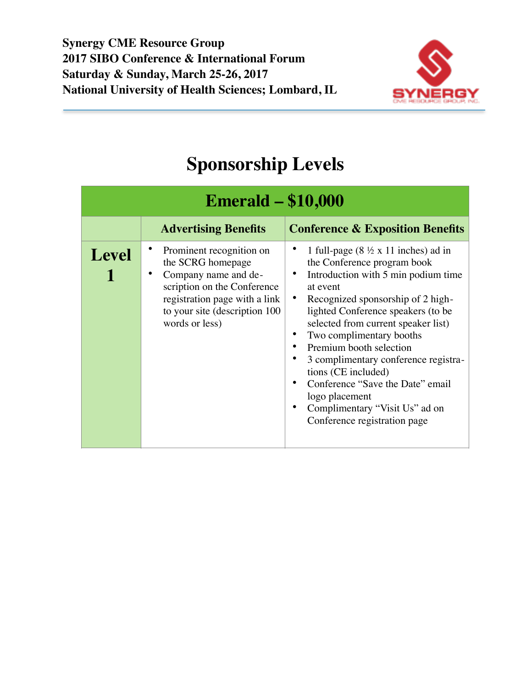

# **Sponsorship Levels**

| <b>Emerald – \$10,000</b> |                                                                                                                                                                                          |                                                                                                                                                                                                                                                                                                                                                                                                                                                                                                                      |
|---------------------------|------------------------------------------------------------------------------------------------------------------------------------------------------------------------------------------|----------------------------------------------------------------------------------------------------------------------------------------------------------------------------------------------------------------------------------------------------------------------------------------------------------------------------------------------------------------------------------------------------------------------------------------------------------------------------------------------------------------------|
|                           | <b>Advertising Benefits</b>                                                                                                                                                              | <b>Conference &amp; Exposition Benefits</b>                                                                                                                                                                                                                                                                                                                                                                                                                                                                          |
| <b>Level</b>              | Prominent recognition on<br>the SCRG homepage<br>Company name and de-<br>scription on the Conference<br>registration page with a link<br>to your site (description 100<br>words or less) | 1 full-page $(8 \frac{1}{2} \times 11)$ inches) ad in<br>the Conference program book<br>Introduction with 5 min podium time<br>at event<br>Recognized sponsorship of 2 high-<br>$\bullet$<br>lighted Conference speakers (to be<br>selected from current speaker list)<br>Two complimentary booths<br>Premium booth selection<br>3 complimentary conference registra-<br>tions (CE included)<br>Conference "Save the Date" email<br>logo placement<br>Complimentary "Visit Us" ad on<br>Conference registration page |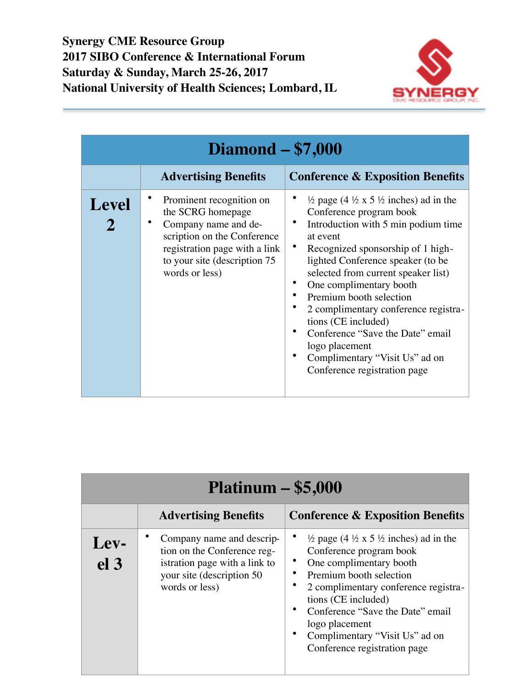

| <b>Diamond - \$7,000</b> |                                                                                                                                                                                         |                                                                                                                                                                                                                                                                                                                                                                                                                                                                                                                     |  |
|--------------------------|-----------------------------------------------------------------------------------------------------------------------------------------------------------------------------------------|---------------------------------------------------------------------------------------------------------------------------------------------------------------------------------------------------------------------------------------------------------------------------------------------------------------------------------------------------------------------------------------------------------------------------------------------------------------------------------------------------------------------|--|
|                          | <b>Advertising Benefits</b>                                                                                                                                                             | <b>Conference &amp; Exposition Benefits</b>                                                                                                                                                                                                                                                                                                                                                                                                                                                                         |  |
| <b>Level</b>             | Prominent recognition on<br>the SCRG homepage<br>Company name and de-<br>scription on the Conference<br>registration page with a link<br>to your site (description 75<br>words or less) | $\frac{1}{2}$ page (4 $\frac{1}{2}$ x 5 $\frac{1}{2}$ inches) ad in the<br>Conference program book<br>Introduction with 5 min podium time<br>at event<br>Recognized sponsorship of 1 high-<br>lighted Conference speaker (to be<br>selected from current speaker list)<br>One complimentary booth<br>Premium booth selection<br>2 complimentary conference registra-<br>tions (CE included)<br>Conference "Save the Date" email<br>logo placement<br>Complimentary "Visit Us" ad on<br>Conference registration page |  |

| $Platinum - $5,000$     |                                                                                                                                          |                                                                                                                                                                                                                                                                                                                                                     |  |
|-------------------------|------------------------------------------------------------------------------------------------------------------------------------------|-----------------------------------------------------------------------------------------------------------------------------------------------------------------------------------------------------------------------------------------------------------------------------------------------------------------------------------------------------|--|
|                         | <b>Advertising Benefits</b>                                                                                                              | <b>Conference &amp; Exposition Benefits</b>                                                                                                                                                                                                                                                                                                         |  |
| Lev-<br>el <sub>3</sub> | Company name and descrip-<br>tion on the Conference reg-<br>istration page with a link to<br>your site (description 50<br>words or less) | $\frac{1}{2}$ page (4 $\frac{1}{2}$ x 5 $\frac{1}{2}$ inches) ad in the<br>Conference program book<br>• One complimentary booth<br>• Premium booth selection<br>2 complimentary conference registra-<br>tions (CE included)<br>Conference "Save the Date" email<br>logo placement<br>Complimentary "Visit Us" ad on<br>Conference registration page |  |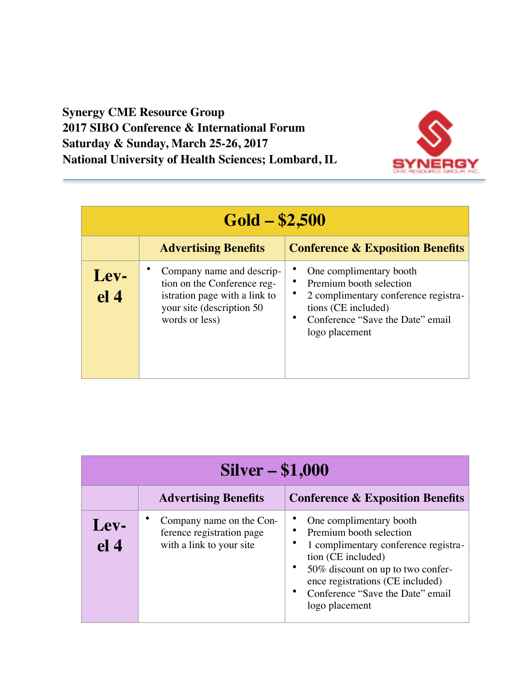#### **Synergy CME Resource Group 2017 SIBO Conference & International Forum Saturday & Sunday, March 25-26, 2017 National University of Health Sciences; Lombard, IL**



| $Gold - $2,500$         |                                                                                                                                           |                                                                                                                                                                         |  |
|-------------------------|-------------------------------------------------------------------------------------------------------------------------------------------|-------------------------------------------------------------------------------------------------------------------------------------------------------------------------|--|
|                         | <b>Advertising Benefits</b>                                                                                                               | <b>Conference &amp; Exposition Benefits</b>                                                                                                                             |  |
| Lev-<br>el <sub>4</sub> | Company name and descrip-<br>tion on the Conference reg-<br>istration page with a link to<br>your site (description 50)<br>words or less) | One complimentary booth<br>Premium booth selection<br>2 complimentary conference registra-<br>tions (CE included)<br>Conference "Save the Date" email<br>logo placement |  |

| <b>Silver – \$1,000</b> |                                                                                   |                                                                                                                                                                                                                                                 |  |
|-------------------------|-----------------------------------------------------------------------------------|-------------------------------------------------------------------------------------------------------------------------------------------------------------------------------------------------------------------------------------------------|--|
|                         | <b>Advertising Benefits</b>                                                       | <b>Conference &amp; Exposition Benefits</b>                                                                                                                                                                                                     |  |
| Lev-<br>el <sub>4</sub> | Company name on the Con-<br>ference registration page<br>with a link to your site | One complimentary booth<br>Premium booth selection<br>1 complimentary conference registra-<br>tion (CE included)<br>50% discount on up to two confer-<br>ence registrations (CE included)<br>Conference "Save the Date" email<br>logo placement |  |